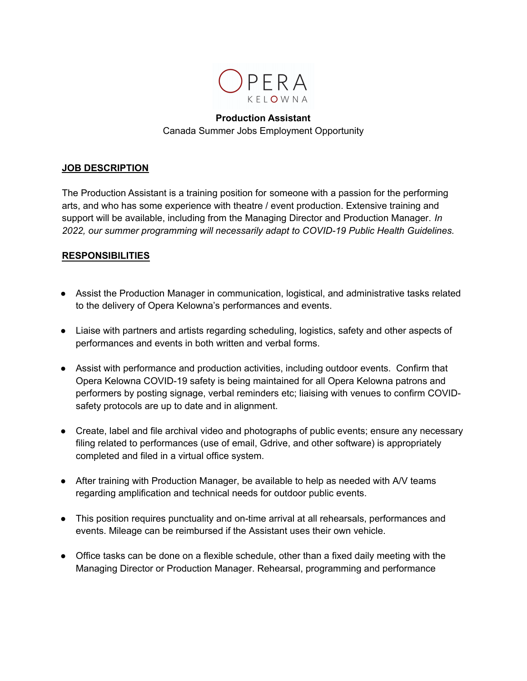

# **Production Assistant** Canada Summer Jobs Employment Opportunity

### **JOB DESCRIPTION**

The Production Assistant is a training position for someone with a passion for the performing arts, and who has some experience with theatre / event production. Extensive training and support will be available, including from the Managing Director and Production Manager. *In 2022, our summer programming will necessarily adapt to COVID-19 Public Health Guidelines.*

### **RESPONSIBILITIES**

- Assist the Production Manager in communication, logistical, and administrative tasks related to the delivery of Opera Kelowna's performances and events.
- Liaise with partners and artists regarding scheduling, logistics, safety and other aspects of performances and events in both written and verbal forms.
- Assist with performance and production activities, including outdoor events. Confirm that Opera Kelowna COVID-19 safety is being maintained for all Opera Kelowna patrons and performers by posting signage, verbal reminders etc; liaising with venues to confirm COVIDsafety protocols are up to date and in alignment.
- Create, label and file archival video and photographs of public events; ensure any necessary filing related to performances (use of email, Gdrive, and other software) is appropriately completed and filed in a virtual office system.
- After training with Production Manager, be available to help as needed with A/V teams regarding amplification and technical needs for outdoor public events.
- This position requires punctuality and on-time arrival at all rehearsals, performances and events. Mileage can be reimbursed if the Assistant uses their own vehicle.
- Office tasks can be done on a flexible schedule, other than a fixed daily meeting with the Managing Director or Production Manager. Rehearsal, programming and performance